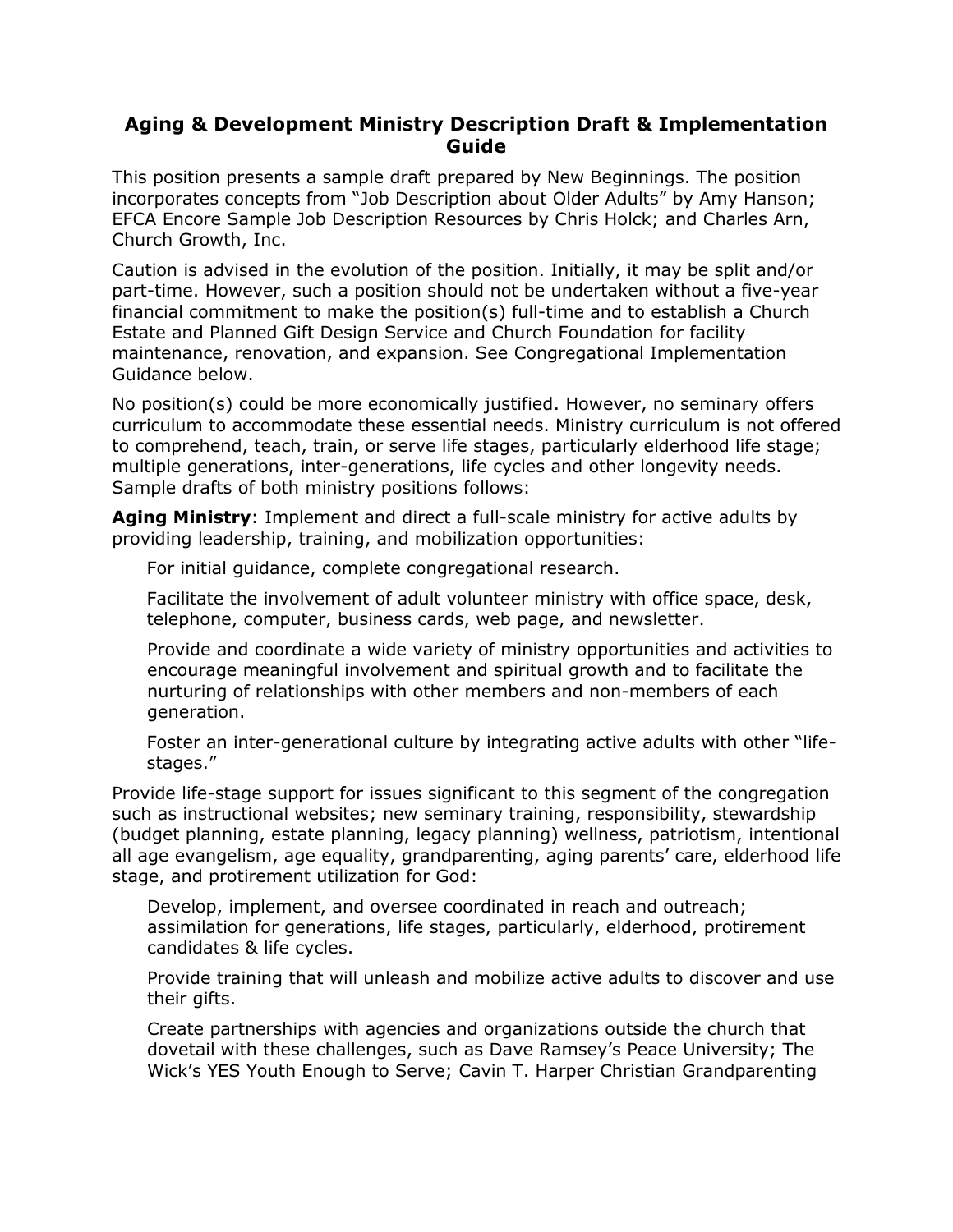## **Aging & Development Ministry Description Draft & Implementation Guide**

This position presents a sample draft prepared by New Beginnings. The position incorporates concepts from "Job Description about Older Adults" by Amy Hanson; EFCA Encore Sample Job Description Resources by Chris Holck; and Charles Arn, Church Growth, Inc.

Caution is advised in the evolution of the position. Initially, it may be split and/or part-time. However, such a position should not be undertaken without a five-year financial commitment to make the position(s) full-time and to establish a Church Estate and Planned Gift Design Service and Church Foundation for facility maintenance, renovation, and expansion. See Congregational Implementation Guidance below.

No position(s) could be more economically justified. However, no seminary offers curriculum to accommodate these essential needs. Ministry curriculum is not offered to comprehend, teach, train, or serve life stages, particularly elderhood life stage; multiple generations, inter-generations, life cycles and other longevity needs. Sample drafts of both ministry positions follows:

**Aging Ministry**: Implement and direct a full-scale ministry for active adults by providing leadership, training, and mobilization opportunities:

For initial guidance, complete congregational research.

Facilitate the involvement of adult volunteer ministry with office space, desk, telephone, computer, business cards, web page, and newsletter.

Provide and coordinate a wide variety of ministry opportunities and activities to encourage meaningful involvement and spiritual growth and to facilitate the nurturing of relationships with other members and non-members of each generation.

Foster an inter-generational culture by integrating active adults with other "lifestages."

Provide life-stage support for issues significant to this segment of the congregation such as instructional websites; new seminary training, responsibility, stewardship (budget planning, estate planning, legacy planning) wellness, patriotism, intentional all age evangelism, age equality, grandparenting, aging parents' care, elderhood life stage, and protirement utilization for God:

Develop, implement, and oversee coordinated in reach and outreach; assimilation for generations, life stages, particularly, elderhood, protirement candidates & life cycles.

Provide training that will unleash and mobilize active adults to discover and use their gifts.

Create partnerships with agencies and organizations outside the church that dovetail with these challenges, such as Dave Ramsey's Peace University; The Wick's YES Youth Enough to Serve; Cavin T. Harper Christian Grandparenting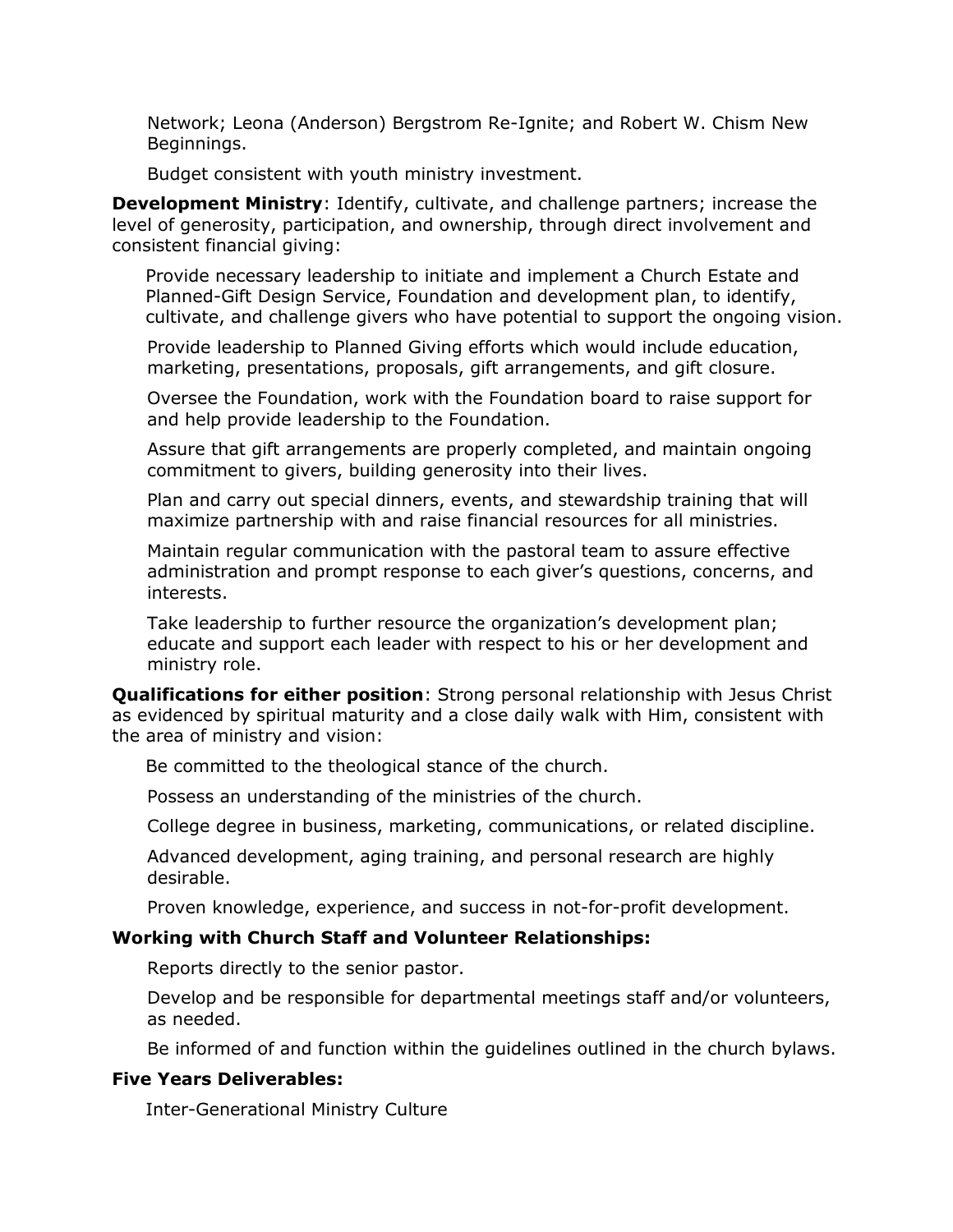Network; Leona (Anderson) Bergstrom Re-Ignite; and Robert W. Chism New Beginnings.

Budget consistent with youth ministry investment.

**Development Ministry**: Identify, cultivate, and challenge partners; increase the level of generosity, participation, and ownership, through direct involvement and consistent financial giving:

Provide necessary leadership to initiate and implement a Church Estate and Planned-Gift Design Service, Foundation and development plan, to identify, cultivate, and challenge givers who have potential to support the ongoing vision.

Provide leadership to Planned Giving efforts which would include education, marketing, presentations, proposals, gift arrangements, and gift closure.

Oversee the Foundation, work with the Foundation board to raise support for and help provide leadership to the Foundation.

Assure that gift arrangements are properly completed, and maintain ongoing commitment to givers, building generosity into their lives.

Plan and carry out special dinners, events, and stewardship training that will maximize partnership with and raise financial resources for all ministries.

Maintain regular communication with the pastoral team to assure effective administration and prompt response to each giver's questions, concerns, and interests.

Take leadership to further resource the organization's development plan; educate and support each leader with respect to his or her development and ministry role.

**Qualifications for either position**: Strong personal relationship with Jesus Christ as evidenced by spiritual maturity and a close daily walk with Him, consistent with the area of ministry and vision:

Be committed to the theological stance of the church.

Possess an understanding of the ministries of the church.

College degree in business, marketing, communications, or related discipline.

Advanced development, aging training, and personal research are highly desirable.

Proven knowledge, experience, and success in not-for-profit development.

## **Working with Church Staff and Volunteer Relationships:**

Reports directly to the senior pastor.

Develop and be responsible for departmental meetings staff and/or volunteers, as needed.

Be informed of and function within the guidelines outlined in the church bylaws.

## **Five Years Deliverables:**

Inter-Generational Ministry Culture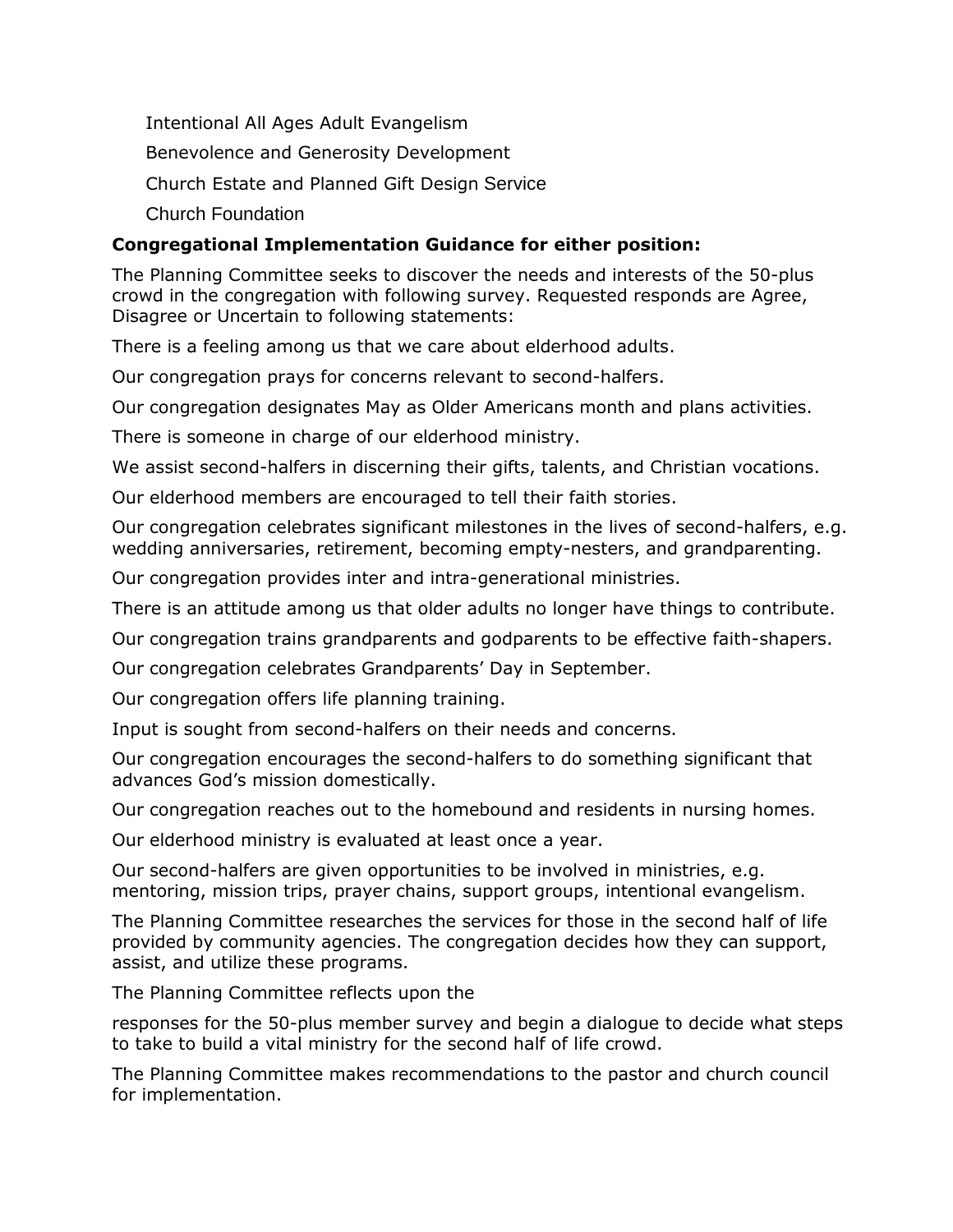Intentional All Ages Adult Evangelism Benevolence and Generosity Development Church Estate and Planned Gift Design Service Church Foundation

## **Congregational Implementation Guidance for either position:**

The Planning Committee seeks to discover the needs and interests of the 50-plus crowd in the congregation with following survey. Requested responds are Agree, Disagree or Uncertain to following statements:

There is a feeling among us that we care about elderhood adults.

Our congregation prays for concerns relevant to second-halfers.

Our congregation designates May as Older Americans month and plans activities.

There is someone in charge of our elderhood ministry.

We assist second-halfers in discerning their gifts, talents, and Christian vocations.

Our elderhood members are encouraged to tell their faith stories.

Our congregation celebrates significant milestones in the lives of second-halfers, e.g. wedding anniversaries, retirement, becoming empty-nesters, and grandparenting.

Our congregation provides inter and intra-generational ministries.

There is an attitude among us that older adults no longer have things to contribute.

Our congregation trains grandparents and godparents to be effective faith-shapers.

Our congregation celebrates Grandparents' Day in September.

Our congregation offers life planning training.

Input is sought from second-halfers on their needs and concerns.

Our congregation encourages the second-halfers to do something significant that advances God's mission domestically.

Our congregation reaches out to the homebound and residents in nursing homes.

Our elderhood ministry is evaluated at least once a year.

Our second-halfers are given opportunities to be involved in ministries, e.g. mentoring, mission trips, prayer chains, support groups, intentional evangelism.

The Planning Committee researches the services for those in the second half of life provided by community agencies. The congregation decides how they can support, assist, and utilize these programs.

The Planning Committee reflects upon the

responses for the 50-plus member survey and begin a dialogue to decide what steps to take to build a vital ministry for the second half of life crowd.

The Planning Committee makes recommendations to the pastor and church council for implementation.